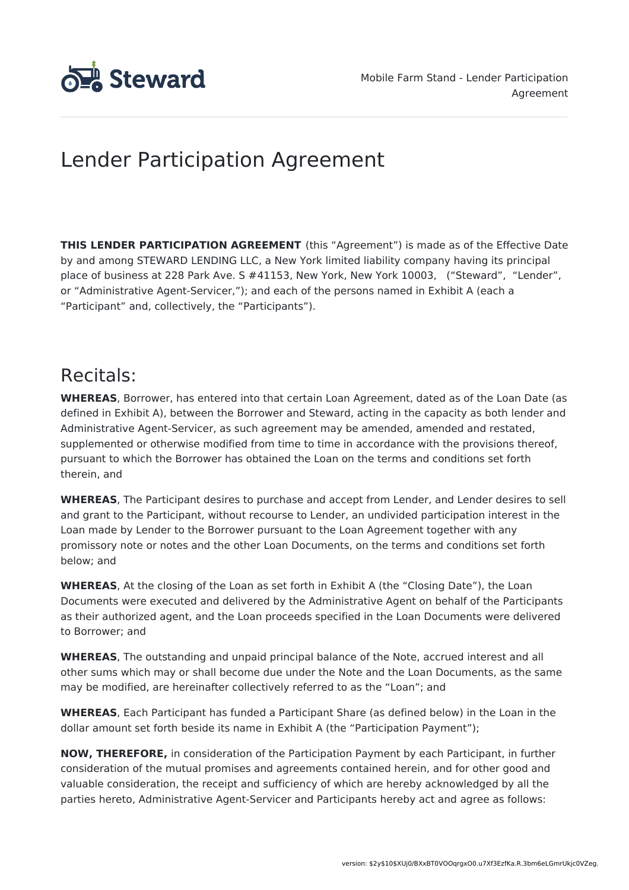

# Lender Participation Agreement

**THIS LENDER PARTICIPATION AGREEMENT** (this "Agreement") is made as of the Effective Date by and among STEWARD LENDING LLC, a New York limited liability company having its principal place of business at 228 Park Ave. S #41153, New York, New York 10003, ("Steward", "Lender", or "Administrative Agent-Servicer,"); and each of the persons named in Exhibit A (each a "Participant" and, collectively, the "Participants").

# Recitals:

**WHEREAS**, Borrower, has entered into that certain Loan Agreement, dated as of the Loan Date (as defined in Exhibit A), between the Borrower and Steward, acting in the capacity as both lender and Administrative Agent-Servicer, as such agreement may be amended, amended and restated, supplemented or otherwise modified from time to time in accordance with the provisions thereof, pursuant to which the Borrower has obtained the Loan on the terms and conditions set forth therein, and

**WHEREAS**, The Participant desires to purchase and accept from Lender, and Lender desires to sell and grant to the Participant, without recourse to Lender, an undivided participation interest in the Loan made by Lender to the Borrower pursuant to the Loan Agreement together with any promissory note or notes and the other Loan Documents, on the terms and conditions set forth below; and

**WHEREAS**, At the closing of the Loan as set forth in Exhibit A (the "Closing Date"), the Loan Documents were executed and delivered by the Administrative Agent on behalf of the Participants as their authorized agent, and the Loan proceeds specified in the Loan Documents were delivered to Borrower; and

**WHEREAS**, The outstanding and unpaid principal balance of the Note, accrued interest and all other sums which may or shall become due under the Note and the Loan Documents, as the same may be modified, are hereinafter collectively referred to as the "Loan"; and

**WHEREAS**, Each Participant has funded a Participant Share (as defined below) in the Loan in the dollar amount set forth beside its name in Exhibit A (the "Participation Payment");

**NOW, THEREFORE,** in consideration of the Participation Payment by each Participant, in further consideration of the mutual promises and agreements contained herein, and for other good and valuable consideration, the receipt and sufficiency of which are hereby acknowledged by all the parties hereto, Administrative Agent-Servicer and Participants hereby act and agree as follows: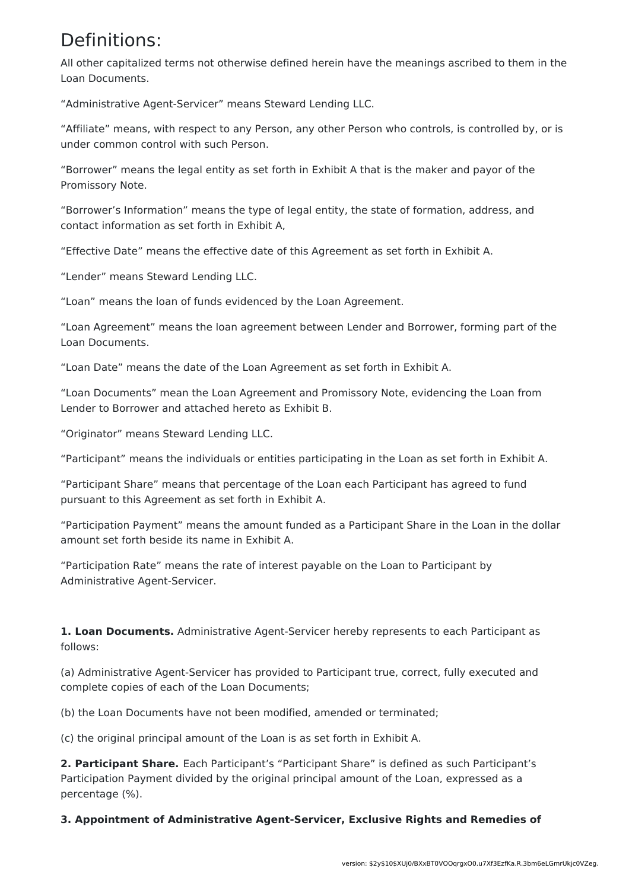### Definitions:

All other capitalized terms not otherwise defined herein have the meanings ascribed to them in the Loan Documents.

"Administrative Agent-Servicer" means Steward Lending LLC.

"Affiliate" means, with respect to any Person, any other Person who controls, is controlled by, or is under common control with such Person.

"Borrower" means the legal entity as set forth in Exhibit A that is the maker and payor of the Promissory Note.

"Borrower's Information" means the type of legal entity, the state of formation, address, and contact information as set forth in Exhibit A,

"Effective Date" means the effective date of this Agreement as set forth in Exhibit A.

"Lender" means Steward Lending LLC.

"Loan" means the loan of funds evidenced by the Loan Agreement.

"Loan Agreement" means the loan agreement between Lender and Borrower, forming part of the Loan Documents.

"Loan Date" means the date of the Loan Agreement as set forth in Exhibit A.

"Loan Documents" mean the Loan Agreement and Promissory Note, evidencing the Loan from Lender to Borrower and attached hereto as Exhibit B.

"Originator" means Steward Lending LLC.

"Participant" means the individuals or entities participating in the Loan as set forth in Exhibit A.

"Participant Share" means that percentage of the Loan each Participant has agreed to fund pursuant to this Agreement as set forth in Exhibit A.

"Participation Payment" means the amount funded as a Participant Share in the Loan in the dollar amount set forth beside its name in Exhibit A.

"Participation Rate" means the rate of interest payable on the Loan to Participant by Administrative Agent-Servicer.

**1. Loan Documents.** Administrative Agent-Servicer hereby represents to each Participant as follows:

(a) Administrative Agent-Servicer has provided to Participant true, correct, fully executed and complete copies of each of the Loan Documents;

(b) the Loan Documents have not been modified, amended or terminated;

(c) the original principal amount of the Loan is as set forth in Exhibit A.

**2. Participant Share.** Each Participant's "Participant Share" is defined as such Participant's Participation Payment divided by the original principal amount of the Loan, expressed as a percentage (%).

**3. Appointment of Administrative Agent-Servicer, Exclusive Rights and Remedies of**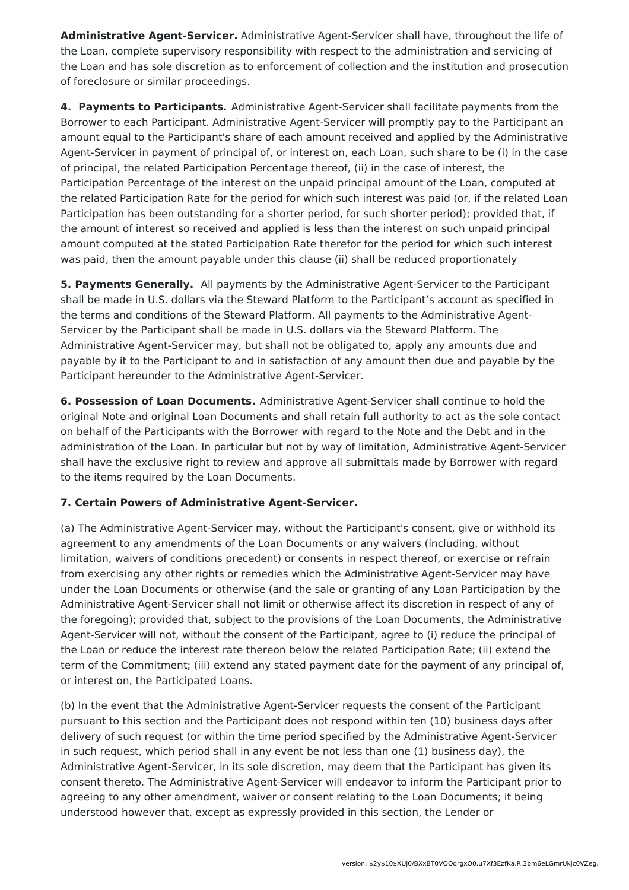**Administrative Agent-Servicer.** Administrative Agent-Servicer shall have, throughout the life of the Loan, complete supervisory responsibility with respect to the administration and servicing of the Loan and has sole discretion as to enforcement of collection and the institution and prosecution of foreclosure or similar proceedings.

**4. Payments to Participants.** Administrative Agent-Servicer shall facilitate payments from the Borrower to each Participant. Administrative Agent-Servicer will promptly pay to the Participant an amount equal to the Participant's share of each amount received and applied by the Administrative Agent-Servicer in payment of principal of, or interest on, each Loan, such share to be (i) in the case of principal, the related Participation Percentage thereof, (ii) in the case of interest, the Participation Percentage of the interest on the unpaid principal amount of the Loan, computed at the related Participation Rate for the period for which such interest was paid (or, if the related Loan Participation has been outstanding for a shorter period, for such shorter period); provided that, if the amount of interest so received and applied is less than the interest on such unpaid principal amount computed at the stated Participation Rate therefor for the period for which such interest was paid, then the amount payable under this clause (ii) shall be reduced proportionately

**5. Payments Generally.** All payments by the Administrative Agent-Servicer to the Participant shall be made in U.S. dollars via the Steward Platform to the Participant's account as specified in the terms and conditions of the Steward Platform. All payments to the Administrative Agent-Servicer by the Participant shall be made in U.S. dollars via the Steward Platform. The Administrative Agent-Servicer may, but shall not be obligated to, apply any amounts due and payable by it to the Participant to and in satisfaction of any amount then due and payable by the Participant hereunder to the Administrative Agent-Servicer.

**6. Possession of Loan Documents.** Administrative Agent-Servicer shall continue to hold the original Note and original Loan Documents and shall retain full authority to act as the sole contact on behalf of the Participants with the Borrower with regard to the Note and the Debt and in the administration of the Loan. In particular but not by way of limitation, Administrative Agent-Servicer shall have the exclusive right to review and approve all submittals made by Borrower with regard to the items required by the Loan Documents.

### **7. Certain Powers of Administrative Agent-Servicer.**

(a) The Administrative Agent-Servicer may, without the Participant's consent, give or withhold its agreement to any amendments of the Loan Documents or any waivers (including, without limitation, waivers of conditions precedent) or consents in respect thereof, or exercise or refrain from exercising any other rights or remedies which the Administrative Agent-Servicer may have under the Loan Documents or otherwise (and the sale or granting of any Loan Participation by the Administrative Agent-Servicer shall not limit or otherwise affect its discretion in respect of any of the foregoing); provided that, subject to the provisions of the Loan Documents, the Administrative Agent-Servicer will not, without the consent of the Participant, agree to (i) reduce the principal of the Loan or reduce the interest rate thereon below the related Participation Rate; (ii) extend the term of the Commitment; (iii) extend any stated payment date for the payment of any principal of, or interest on, the Participated Loans.

(b) In the event that the Administrative Agent-Servicer requests the consent of the Participant pursuant to this section and the Participant does not respond within ten (10) business days after delivery of such request (or within the time period specified by the Administrative Agent-Servicer in such request, which period shall in any event be not less than one (1) business day), the Administrative Agent-Servicer, in its sole discretion, may deem that the Participant has given its consent thereto. The Administrative Agent-Servicer will endeavor to inform the Participant prior to agreeing to any other amendment, waiver or consent relating to the Loan Documents; it being understood however that, except as expressly provided in this section, the Lender or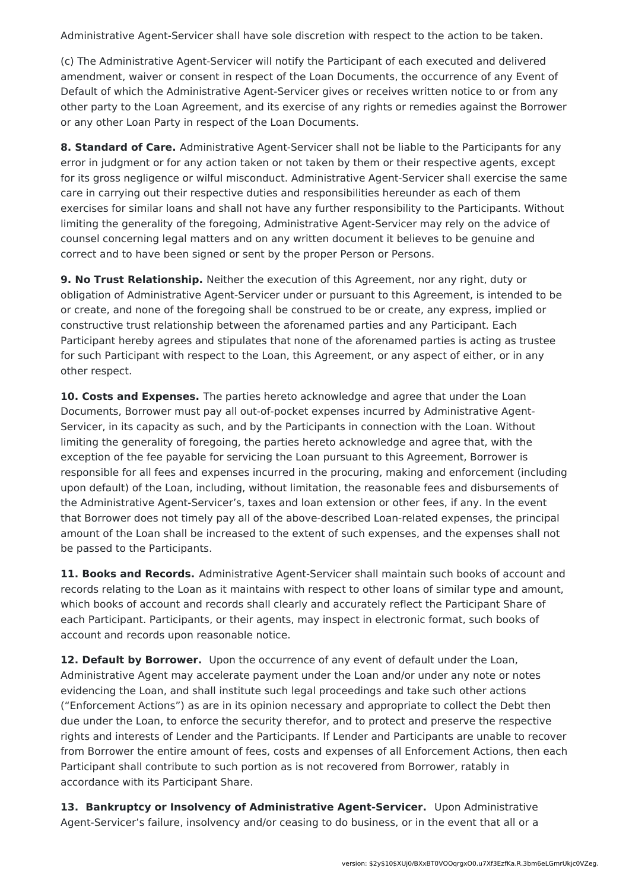Administrative Agent-Servicer shall have sole discretion with respect to the action to be taken.

(c) The Administrative Agent-Servicer will notify the Participant of each executed and delivered amendment, waiver or consent in respect of the Loan Documents, the occurrence of any Event of Default of which the Administrative Agent-Servicer gives or receives written notice to or from any other party to the Loan Agreement, and its exercise of any rights or remedies against the Borrower or any other Loan Party in respect of the Loan Documents.

**8. Standard of Care.** Administrative Agent-Servicer shall not be liable to the Participants for any error in judgment or for any action taken or not taken by them or their respective agents, except for its gross negligence or wilful misconduct. Administrative Agent-Servicer shall exercise the same care in carrying out their respective duties and responsibilities hereunder as each of them exercises for similar loans and shall not have any further responsibility to the Participants. Without limiting the generality of the foregoing, Administrative Agent-Servicer may rely on the advice of counsel concerning legal matters and on any written document it believes to be genuine and correct and to have been signed or sent by the proper Person or Persons.

**9. No Trust Relationship.** Neither the execution of this Agreement, nor any right, duty or obligation of Administrative Agent-Servicer under or pursuant to this Agreement, is intended to be or create, and none of the foregoing shall be construed to be or create, any express, implied or constructive trust relationship between the aforenamed parties and any Participant. Each Participant hereby agrees and stipulates that none of the aforenamed parties is acting as trustee for such Participant with respect to the Loan, this Agreement, or any aspect of either, or in any other respect.

**10. Costs and Expenses.** The parties hereto acknowledge and agree that under the Loan Documents, Borrower must pay all out-of-pocket expenses incurred by Administrative Agent-Servicer, in its capacity as such, and by the Participants in connection with the Loan. Without limiting the generality of foregoing, the parties hereto acknowledge and agree that, with the exception of the fee payable for servicing the Loan pursuant to this Agreement, Borrower is responsible for all fees and expenses incurred in the procuring, making and enforcement (including upon default) of the Loan, including, without limitation, the reasonable fees and disbursements of the Administrative Agent-Servicer's, taxes and loan extension or other fees, if any. In the event that Borrower does not timely pay all of the above-described Loan-related expenses, the principal amount of the Loan shall be increased to the extent of such expenses, and the expenses shall not be passed to the Participants.

**11. Books and Records.** Administrative Agent-Servicer shall maintain such books of account and records relating to the Loan as it maintains with respect to other loans of similar type and amount, which books of account and records shall clearly and accurately reflect the Participant Share of each Participant. Participants, or their agents, may inspect in electronic format, such books of account and records upon reasonable notice.

**12. Default by Borrower.** Upon the occurrence of any event of default under the Loan, Administrative Agent may accelerate payment under the Loan and/or under any note or notes evidencing the Loan, and shall institute such legal proceedings and take such other actions ("Enforcement Actions") as are in its opinion necessary and appropriate to collect the Debt then due under the Loan, to enforce the security therefor, and to protect and preserve the respective rights and interests of Lender and the Participants. If Lender and Participants are unable to recover from Borrower the entire amount of fees, costs and expenses of all Enforcement Actions, then each Participant shall contribute to such portion as is not recovered from Borrower, ratably in accordance with its Participant Share.

**13. Bankruptcy or Insolvency of Administrative Agent-Servicer.** Upon Administrative Agent-Servicer's failure, insolvency and/or ceasing to do business, or in the event that all or a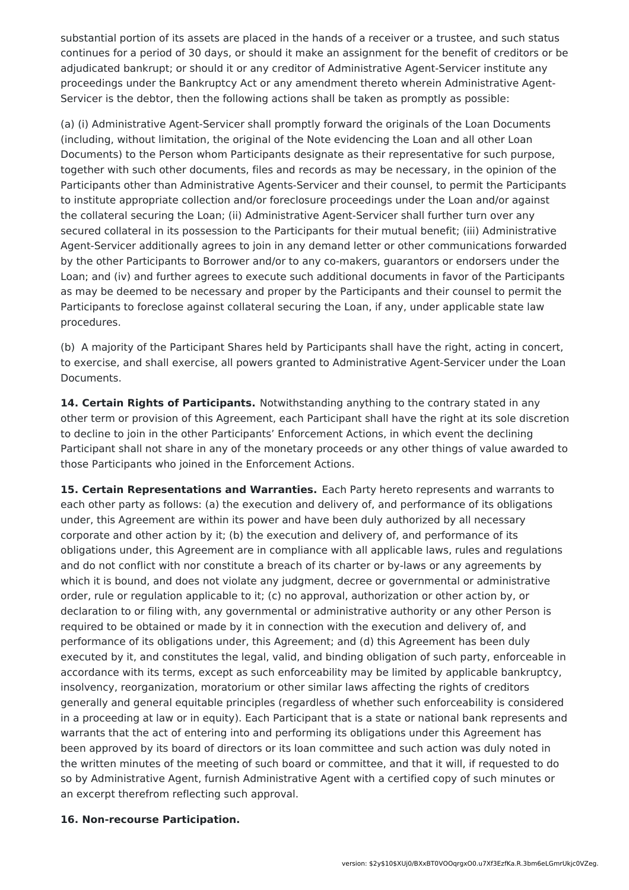substantial portion of its assets are placed in the hands of a receiver or a trustee, and such status continues for a period of 30 days, or should it make an assignment for the benefit of creditors or be adjudicated bankrupt; or should it or any creditor of Administrative Agent-Servicer institute any proceedings under the Bankruptcy Act or any amendment thereto wherein Administrative Agent-Servicer is the debtor, then the following actions shall be taken as promptly as possible:

(a) (i) Administrative Agent-Servicer shall promptly forward the originals of the Loan Documents (including, without limitation, the original of the Note evidencing the Loan and all other Loan Documents) to the Person whom Participants designate as their representative for such purpose, together with such other documents, files and records as may be necessary, in the opinion of the Participants other than Administrative Agents-Servicer and their counsel, to permit the Participants to institute appropriate collection and/or foreclosure proceedings under the Loan and/or against the collateral securing the Loan; (ii) Administrative Agent-Servicer shall further turn over any secured collateral in its possession to the Participants for their mutual benefit; (iii) Administrative Agent-Servicer additionally agrees to join in any demand letter or other communications forwarded by the other Participants to Borrower and/or to any co-makers, guarantors or endorsers under the Loan; and (iv) and further agrees to execute such additional documents in favor of the Participants as may be deemed to be necessary and proper by the Participants and their counsel to permit the Participants to foreclose against collateral securing the Loan, if any, under applicable state law procedures.

(b) A majority of the Participant Shares held by Participants shall have the right, acting in concert, to exercise, and shall exercise, all powers granted to Administrative Agent-Servicer under the Loan Documents.

**14. Certain Rights of Participants.** Notwithstanding anything to the contrary stated in any other term or provision of this Agreement, each Participant shall have the right at its sole discretion to decline to join in the other Participants' Enforcement Actions, in which event the declining Participant shall not share in any of the monetary proceeds or any other things of value awarded to those Participants who joined in the Enforcement Actions.

**15. Certain Representations and Warranties.** Each Party hereto represents and warrants to each other party as follows: (a) the execution and delivery of, and performance of its obligations under, this Agreement are within its power and have been duly authorized by all necessary corporate and other action by it; (b) the execution and delivery of, and performance of its obligations under, this Agreement are in compliance with all applicable laws, rules and regulations and do not conflict with nor constitute a breach of its charter or by-laws or any agreements by which it is bound, and does not violate any judgment, decree or governmental or administrative order, rule or regulation applicable to it; (c) no approval, authorization or other action by, or declaration to or filing with, any governmental or administrative authority or any other Person is required to be obtained or made by it in connection with the execution and delivery of, and performance of its obligations under, this Agreement; and (d) this Agreement has been duly executed by it, and constitutes the legal, valid, and binding obligation of such party, enforceable in accordance with its terms, except as such enforceability may be limited by applicable bankruptcy, insolvency, reorganization, moratorium or other similar laws affecting the rights of creditors generally and general equitable principles (regardless of whether such enforceability is considered in a proceeding at law or in equity). Each Participant that is a state or national bank represents and warrants that the act of entering into and performing its obligations under this Agreement has been approved by its board of directors or its loan committee and such action was duly noted in the written minutes of the meeting of such board or committee, and that it will, if requested to do so by Administrative Agent, furnish Administrative Agent with a certified copy of such minutes or an excerpt therefrom reflecting such approval.

#### **16. Non-recourse Participation.**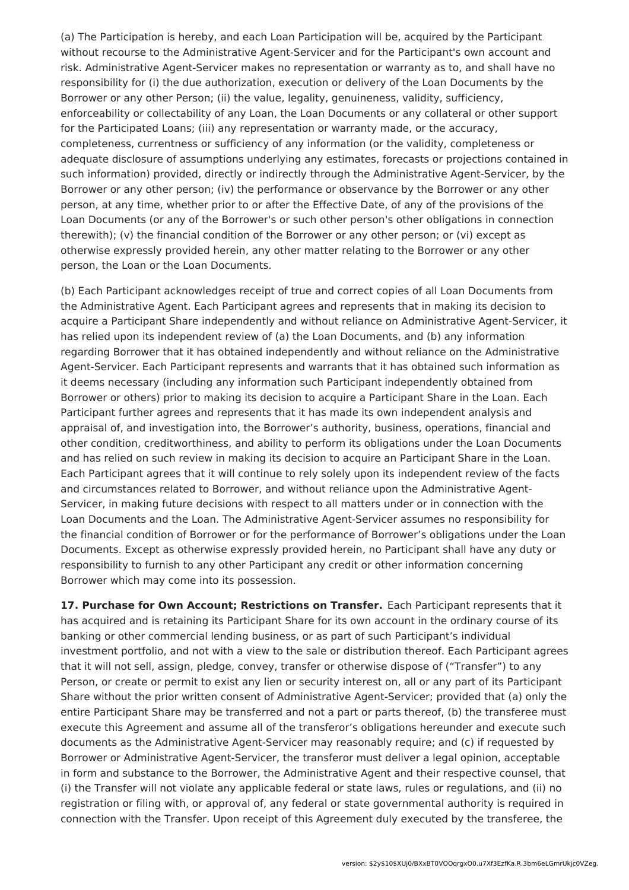(a) The Participation is hereby, and each Loan Participation will be, acquired by the Participant without recourse to the Administrative Agent-Servicer and for the Participant's own account and risk. Administrative Agent-Servicer makes no representation or warranty as to, and shall have no responsibility for (i) the due authorization, execution or delivery of the Loan Documents by the Borrower or any other Person; (ii) the value, legality, genuineness, validity, sufficiency, enforceability or collectability of any Loan, the Loan Documents or any collateral or other support for the Participated Loans; (iii) any representation or warranty made, or the accuracy, completeness, currentness or sufficiency of any information (or the validity, completeness or adequate disclosure of assumptions underlying any estimates, forecasts or projections contained in such information) provided, directly or indirectly through the Administrative Agent-Servicer, by the Borrower or any other person; (iv) the performance or observance by the Borrower or any other person, at any time, whether prior to or after the Effective Date, of any of the provisions of the Loan Documents (or any of the Borrower's or such other person's other obligations in connection therewith); (v) the financial condition of the Borrower or any other person; or (vi) except as otherwise expressly provided herein, any other matter relating to the Borrower or any other person, the Loan or the Loan Documents.

(b) Each Participant acknowledges receipt of true and correct copies of all Loan Documents from the Administrative Agent. Each Participant agrees and represents that in making its decision to acquire a Participant Share independently and without reliance on Administrative Agent-Servicer, it has relied upon its independent review of (a) the Loan Documents, and (b) any information regarding Borrower that it has obtained independently and without reliance on the Administrative Agent-Servicer. Each Participant represents and warrants that it has obtained such information as it deems necessary (including any information such Participant independently obtained from Borrower or others) prior to making its decision to acquire a Participant Share in the Loan. Each Participant further agrees and represents that it has made its own independent analysis and appraisal of, and investigation into, the Borrower's authority, business, operations, financial and other condition, creditworthiness, and ability to perform its obligations under the Loan Documents and has relied on such review in making its decision to acquire an Participant Share in the Loan. Each Participant agrees that it will continue to rely solely upon its independent review of the facts and circumstances related to Borrower, and without reliance upon the Administrative Agent-Servicer, in making future decisions with respect to all matters under or in connection with the Loan Documents and the Loan. The Administrative Agent-Servicer assumes no responsibility for the financial condition of Borrower or for the performance of Borrower's obligations under the Loan Documents. Except as otherwise expressly provided herein, no Participant shall have any duty or responsibility to furnish to any other Participant any credit or other information concerning Borrower which may come into its possession.

**17. Purchase for Own Account; Restrictions on Transfer.** Each Participant represents that it has acquired and is retaining its Participant Share for its own account in the ordinary course of its banking or other commercial lending business, or as part of such Participant's individual investment portfolio, and not with a view to the sale or distribution thereof. Each Participant agrees that it will not sell, assign, pledge, convey, transfer or otherwise dispose of ("Transfer") to any Person, or create or permit to exist any lien or security interest on, all or any part of its Participant Share without the prior written consent of Administrative Agent-Servicer; provided that (a) only the entire Participant Share may be transferred and not a part or parts thereof, (b) the transferee must execute this Agreement and assume all of the transferor's obligations hereunder and execute such documents as the Administrative Agent-Servicer may reasonably require; and (c) if requested by Borrower or Administrative Agent-Servicer, the transferor must deliver a legal opinion, acceptable in form and substance to the Borrower, the Administrative Agent and their respective counsel, that (i) the Transfer will not violate any applicable federal or state laws, rules or regulations, and (ii) no registration or filing with, or approval of, any federal or state governmental authority is required in connection with the Transfer. Upon receipt of this Agreement duly executed by the transferee, the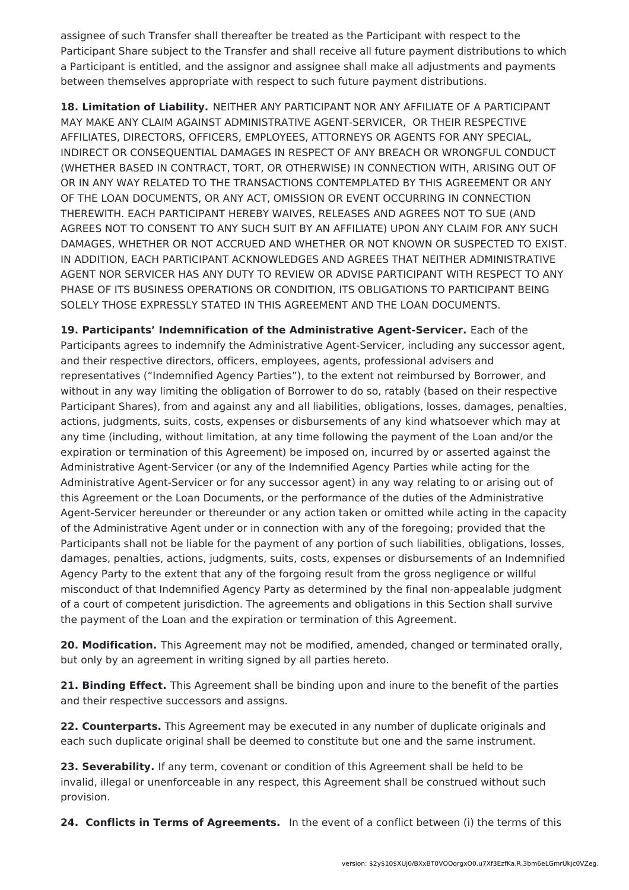assignee of such Transfer shall thereafter be treated as the Participant with respect to the Participant Share subject to the Transfer and shall receive all future payment distributions to which a Participant is entitled, and the assignor and assignee shall make all adjustments and payments between themselves appropriate with respect to such future payment distributions.

**18. Limitation of Liability.** NEITHER ANY PARTICIPANT NOR ANY AFFILIATE OF A PARTICIPANT MAY MAKE ANY CLAIM AGAINST ADMINISTRATIVE AGENT-SERVICER, OR THEIR RESPECTIVE AFFILIATES, DIRECTORS, OFFICERS, EMPLOYEES, ATTORNEYS OR AGENTS FOR ANY SPECIAL, INDIRECT OR CONSEQUENTIAL DAMAGES IN RESPECT OF ANY BREACH OR WRONGFUL CONDUCT (WHETHER BASED IN CONTRACT, TORT, OR OTHERWISE) IN CONNECTION WITH, ARISING OUT OF OR IN ANY WAY RELATED TO THE TRANSACTIONS CONTEMPLATED BY THIS AGREEMENT OR ANY OF THE LOAN DOCUMENTS, OR ANY ACT, OMISSION OR EVENT OCCURRING IN CONNECTION THEREWITH. EACH PARTICIPANT HEREBY WAIVES, RELEASES AND AGREES NOT TO SUE (AND AGREES NOT TO CONSENT TO ANY SUCH SUIT BY AN AFFILIATE) UPON ANY CLAIM FOR ANY SUCH DAMAGES, WHETHER OR NOT ACCRUED AND WHETHER OR NOT KNOWN OR SUSPECTED TO EXIST. IN ADDITION, EACH PARTICIPANT ACKNOWLEDGES AND AGREES THAT NEITHER ADMINISTRATIVE AGENT NOR SERVICER HAS ANY DUTY TO REVIEW OR ADVISE PARTICIPANT WITH RESPECT TO ANY PHASE OF ITS BUSINESS OPERATIONS OR CONDITION, ITS OBLIGATIONS TO PARTICIPANT BEING SOLELY THOSE EXPRESSLY STATED IN THIS AGREEMENT AND THE LOAN DOCUMENTS.

**19. Participants' Indemnification of the Administrative Agent-Servicer.** Each of the Participants agrees to indemnify the Administrative Agent-Servicer, including any successor agent, and their respective directors, officers, employees, agents, professional advisers and representatives ("Indemnified Agency Parties"), to the extent not reimbursed by Borrower, and without in any way limiting the obligation of Borrower to do so, ratably (based on their respective Participant Shares), from and against any and all liabilities, obligations, losses, damages, penalties, actions, judgments, suits, costs, expenses or disbursements of any kind whatsoever which may at any time (including, without limitation, at any time following the payment of the Loan and/or the expiration or termination of this Agreement) be imposed on, incurred by or asserted against the Administrative Agent-Servicer (or any of the Indemnified Agency Parties while acting for the Administrative Agent-Servicer or for any successor agent) in any way relating to or arising out of this Agreement or the Loan Documents, or the performance of the duties of the Administrative Agent-Servicer hereunder or thereunder or any action taken or omitted while acting in the capacity of the Administrative Agent under or in connection with any of the foregoing; provided that the Participants shall not be liable for the payment of any portion of such liabilities, obligations, losses, damages, penalties, actions, judgments, suits, costs, expenses or disbursements of an Indemnified Agency Party to the extent that any of the forgoing result from the gross negligence or willful misconduct of that Indemnified Agency Party as determined by the final non-appealable judgment of a court of competent jurisdiction. The agreements and obligations in this Section shall survive the payment of the Loan and the expiration or termination of this Agreement.

**20. Modification.** This Agreement may not be modified, amended, changed or terminated orally, but only by an agreement in writing signed by all parties hereto.

**21. Binding Effect.** This Agreement shall be binding upon and inure to the benefit of the parties and their respective successors and assigns.

**22. Counterparts.** This Agreement may be executed in any number of duplicate originals and each such duplicate original shall be deemed to constitute but one and the same instrument.

**23. Severability.** If any term, covenant or condition of this Agreement shall be held to be invalid, illegal or unenforceable in any respect, this Agreement shall be construed without such provision.

**24. Conflicts in Terms of Agreements.** In the event of a conflict between (i) the terms of this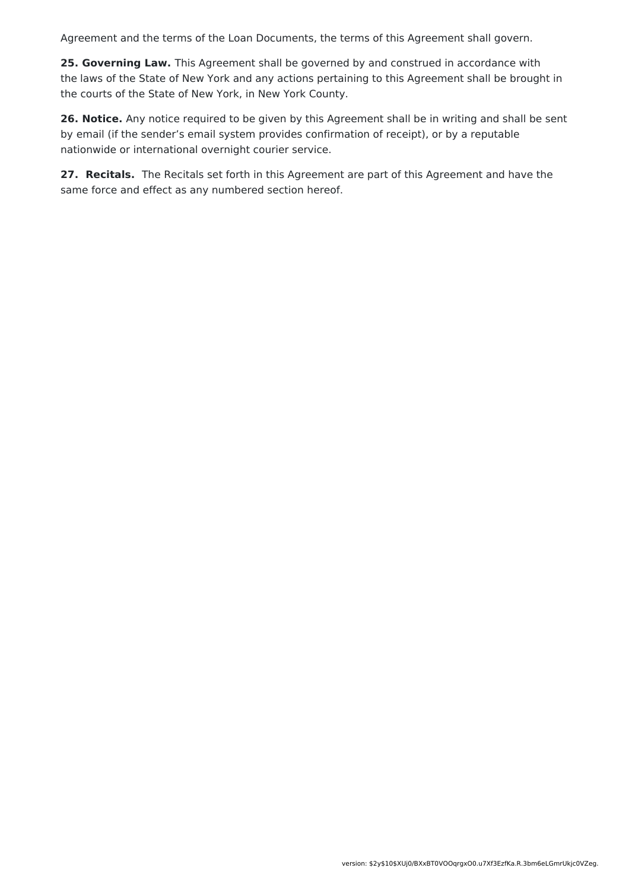Agreement and the terms of the Loan Documents, the terms of this Agreement shall govern.

**25. Governing Law.** This Agreement shall be governed by and construed in accordance with the laws of the State of New York and any actions pertaining to this Agreement shall be brought in the courts of the State of New York, in New York County.

**26. Notice.** Any notice required to be given by this Agreement shall be in writing and shall be sent by email (if the sender's email system provides confirmation of receipt), or by a reputable nationwide or international overnight courier service.

**27. Recitals.** The Recitals set forth in this Agreement are part of this Agreement and have the same force and effect as any numbered section hereof.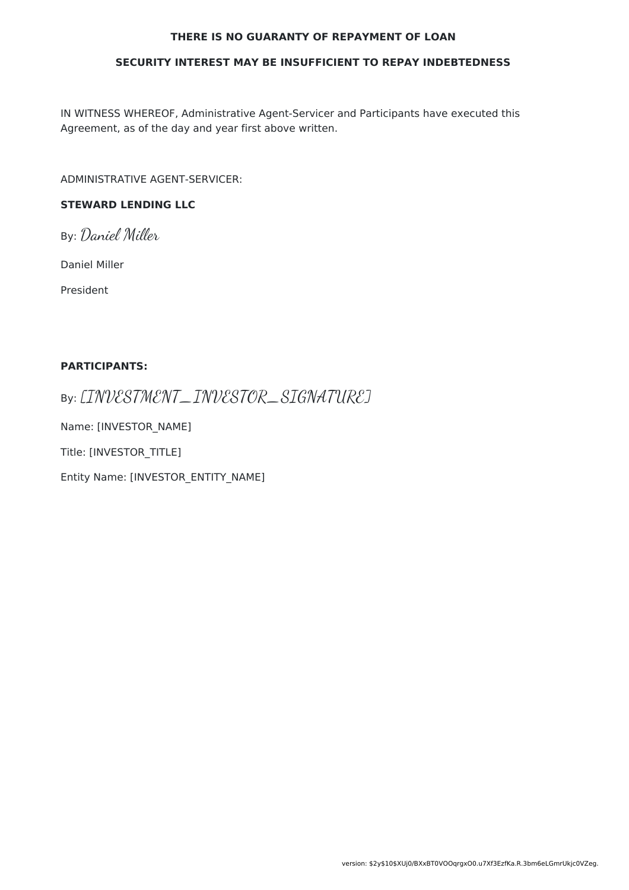#### **THERE IS NO GUARANTY OF REPAYMENT OF LOAN**

#### **SECURITY INTEREST MAY BE INSUFFICIENT TO REPAY INDEBTEDNESS**

IN WITNESS WHEREOF, Administrative Agent-Servicer and Participants have executed this Agreement, as of the day and year first above written.

ADMINISTRATIVE AGENT-SERVICER:

### **STEWARD LENDING LLC**

By: Daniel Miller

Daniel Miller

President

#### **PARTICIPANTS:**

By: [INVESTMENT\_INVESTOR\_SIGNATURE]

Name: [INVESTOR\_NAME]

Title: [INVESTOR\_TITLE]

Entity Name: [INVESTOR\_ENTITY\_NAME]